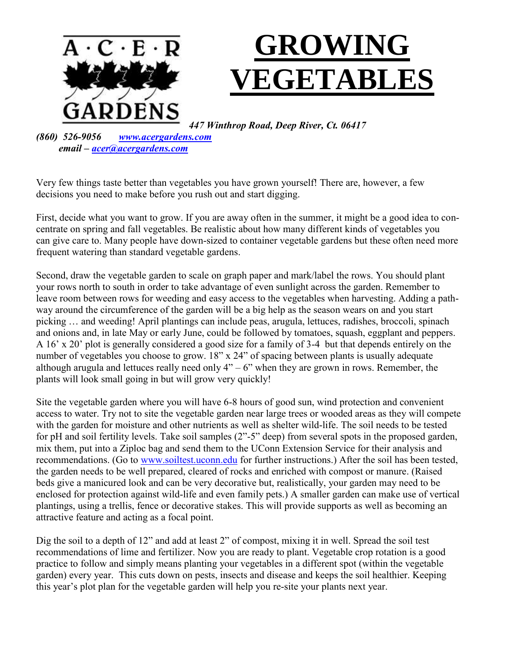

*447 Winthrop Road, Deep River, Ct. 06417*

*(860) 526-9056 [www.acergardens.com](http://www.acergardens.com/) email – [acer@acergardens.com](mailto:acer@acergardens.com)*

Very few things taste better than vegetables you have grown yourself! There are, however, a few decisions you need to make before you rush out and start digging.

First, decide what you want to grow. If you are away often in the summer, it might be a good idea to concentrate on spring and fall vegetables. Be realistic about how many different kinds of vegetables you can give care to. Many people have down-sized to container vegetable gardens but these often need more frequent watering than standard vegetable gardens.

Second, draw the vegetable garden to scale on graph paper and mark/label the rows. You should plant your rows north to south in order to take advantage of even sunlight across the garden. Remember to leave room between rows for weeding and easy access to the vegetables when harvesting. Adding a pathway around the circumference of the garden will be a big help as the season wears on and you start picking … and weeding! April plantings can include peas, arugula, lettuces, radishes, broccoli, spinach and onions and, in late May or early June, could be followed by tomatoes, squash, eggplant and peppers. A 16' x 20' plot is generally considered a good size for a family of 3-4 but that depends entirely on the number of vegetables you choose to grow. 18" x 24" of spacing between plants is usually adequate although arugula and lettuces really need only  $4" - 6"$  when they are grown in rows. Remember, the plants will look small going in but will grow very quickly!

Site the vegetable garden where you will have 6-8 hours of good sun, wind protection and convenient access to water. Try not to site the vegetable garden near large trees or wooded areas as they will compete with the garden for moisture and other nutrients as well as shelter wild-life. The soil needs to be tested for pH and soil fertility levels. Take soil samples (2"-5" deep) from several spots in the proposed garden, mix them, put into a Ziploc bag and send them to the UConn Extension Service for their analysis and recommendations. (Go to [www.soiltest.uconn.edu](http://www.soiltest.uconn.edu/) for further instructions.) After the soil has been tested, the garden needs to be well prepared, cleared of rocks and enriched with compost or manure. (Raised beds give a manicured look and can be very decorative but, realistically, your garden may need to be enclosed for protection against wild-life and even family pets.) A smaller garden can make use of vertical plantings, using a trellis, fence or decorative stakes. This will provide supports as well as becoming an attractive feature and acting as a focal point.

Dig the soil to a depth of 12" and add at least 2" of compost, mixing it in well. Spread the soil test recommendations of lime and fertilizer. Now you are ready to plant. Vegetable crop rotation is a good practice to follow and simply means planting your vegetables in a different spot (within the vegetable garden) every year. This cuts down on pests, insects and disease and keeps the soil healthier. Keeping this year's plot plan for the vegetable garden will help you re-site your plants next year.